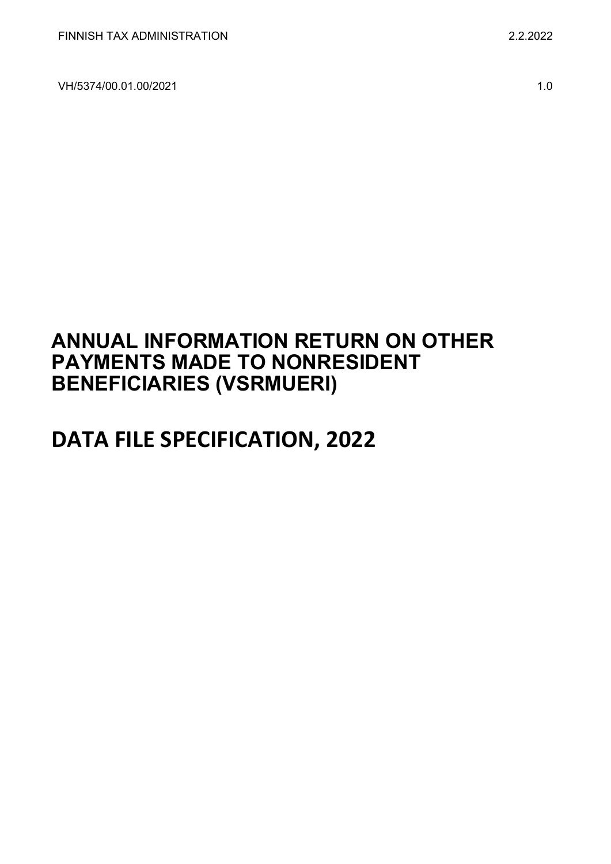VH/5374/00.01.00/2021 1.0

## **ANNUAL INFORMATION RETURN ON OTHER PAYMENTS MADE TO NONRESIDENT BENEFICIARIES (VSRMUERI)**

# **DATA FILE SPECIFICATION, 2022**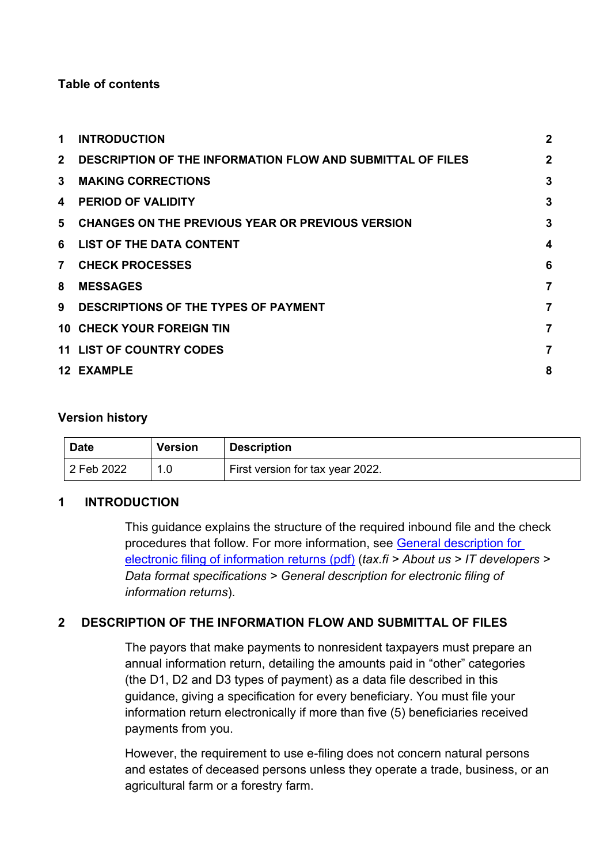## **Table of contents**

| <b>INTRODUCTION</b>                                               | $\mathbf{2}$ |
|-------------------------------------------------------------------|--------------|
| <b>DESCRIPTION OF THE INFORMATION FLOW AND SUBMITTAL OF FILES</b> | $\mathbf{2}$ |
| <b>MAKING CORRECTIONS</b>                                         | 3            |
| <b>PERIOD OF VALIDITY</b>                                         | 3            |
| <b>CHANGES ON THE PREVIOUS YEAR OR PREVIOUS VERSION</b>           | 3            |
| LIST OF THE DATA CONTENT                                          | 4            |
| <b>CHECK PROCESSES</b>                                            | 6            |
| <b>MESSAGES</b>                                                   | 7            |
| DESCRIPTIONS OF THE TYPES OF PAYMENT                              | 7            |
| <b>10 CHECK YOUR FOREIGN TIN</b>                                  | 7            |
| <b>11 LIST OF COUNTRY CODES</b>                                   | 7            |
| <b>12 EXAMPLE</b>                                                 | 8            |
|                                                                   |              |

## **Version history**

| <b>Date</b> | <b>Version</b> | <b>Description</b>               |
|-------------|----------------|----------------------------------|
| 2 Feb 2022  |                | First version for tax year 2022. |

## <span id="page-1-0"></span>**1 INTRODUCTION**

This guidance explains the structure of the required inbound file and the check procedures that follow. For more information, see [General description for](https://www.vero.fi/globalassets/tietoa-verohallinnosta/ohjelmistokehittajille/finnish-tax-administration_electronic-filing-of-information-returns-general-description.pdf)  [electronic filing of information returns \(pdf\)](https://www.vero.fi/globalassets/tietoa-verohallinnosta/ohjelmistokehittajille/finnish-tax-administration_electronic-filing-of-information-returns-general-description.pdf) (*tax.fi > About us > IT developers > Data format specifications > General description for electronic filing of information returns*).

## <span id="page-1-1"></span>**2 DESCRIPTION OF THE INFORMATION FLOW AND SUBMITTAL OF FILES**

The payors that make payments to nonresident taxpayers must prepare an annual information return, detailing the amounts paid in "other" categories (the D1, D2 and D3 types of payment) as a data file described in this guidance, giving a specification for every beneficiary. You must file your information return electronically if more than five (5) beneficiaries received payments from you.

However, the requirement to use e-filing does not concern natural persons and estates of deceased persons unless they operate a trade, business, or an agricultural farm or a forestry farm.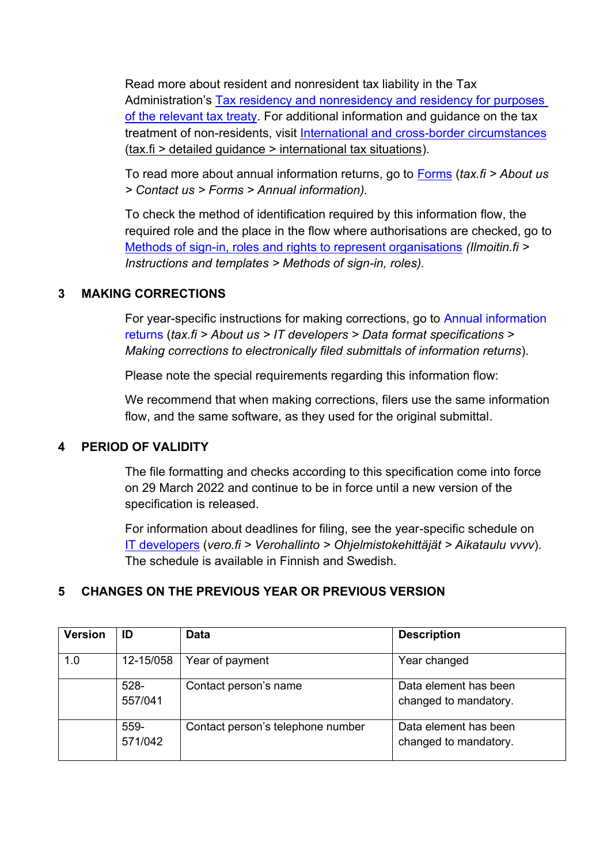Read more about resident and nonresident tax liability in the Tax Administration's [Tax residency and nonresidency and residency for purposes](https://www.vero.fi/en/detailed-guidance/guidance/48999/tax-residency-nonresidency-and-residency-in-accordance-with-a-tax-treaty--natural-persons/)  [of the relevant tax treaty.](https://www.vero.fi/en/detailed-guidance/guidance/48999/tax-residency-nonresidency-and-residency-in-accordance-with-a-tax-treaty--natural-persons/) For additional information and guidance on the tax treatment of non-residents, visit [International and cross-border circumstances](https://www.vero.fi/syventavat-vero-ohjeet/ohje-hakusivu/?tags=67764&sort=0&pageSize=50&page=1&tag=67764) (tax.fi > detailed guidance > international tax situations).

To read more about annual information returns, go to [Forms](https://www.vero.fi/en/About-us/contact-us/forms/) (*tax.fi > About us > Contact us > Forms > Annual information).*

To check the method of identification required by this information flow, the required role and the place in the flow where authorisations are checked, go to [Methods of sign-in, roles and rights to represent organisations](https://www.ilmoitin.fi/webtamo/sivut/IlmoituslajiRoolit?kieli=en&tv=VSRMUERI) *[\(Ilmoitin.fi >](https://www.ilmoitin.fi/webtamo/sivut/IlmoituslajiRoolit?tv=VSY02C)  [Instructions and templates > Methods of sign-in, roles\)](https://www.ilmoitin.fi/webtamo/sivut/IlmoituslajiRoolit?tv=VSY02C).*

## <span id="page-2-0"></span>**3 MAKING CORRECTIONS**

For year-specific instructions for making corrections, go to [Annual information](https://www.vero.fi/en/About-us/it_developer/data-format-specifications/annual_information_returns__instruction/)  [returns](https://www.vero.fi/en/About-us/it_developer/data-format-specifications/annual_information_returns__instruction/) (*tax.fi > About us > IT developers > Data format specifications > Making corrections to electronically filed submittals of information returns*).

Please note the special requirements regarding this information flow:

We recommend that when making corrections, filers use the same information flow, and the same software, as they used for the original submittal.

## <span id="page-2-1"></span>**4 PERIOD OF VALIDITY**

The file formatting and checks according to this specification come into force on 29 March 2022 and continue to be in force until a new version of the specification is released.

For information about deadlines for filing, see the year-specific schedule on [IT developers](https://www.vero.fi/tietoa-verohallinnosta/kehittaja/) (*vero.fi > Verohallinto > Ohjelmistokehittäjät > Aikataulu vvvv*). The schedule is available in Finnish and Swedish.

## <span id="page-2-2"></span>**5 CHANGES ON THE PREVIOUS YEAR OR PREVIOUS VERSION**

| <b>Version</b> | ID              | <b>Data</b>                       | <b>Description</b>                             |
|----------------|-----------------|-----------------------------------|------------------------------------------------|
| 1.0            | 12-15/058       | Year of payment                   | Year changed                                   |
|                | 528-<br>557/041 | Contact person's name             | Data element has been<br>changed to mandatory. |
|                | 559-<br>571/042 | Contact person's telephone number | Data element has been<br>changed to mandatory. |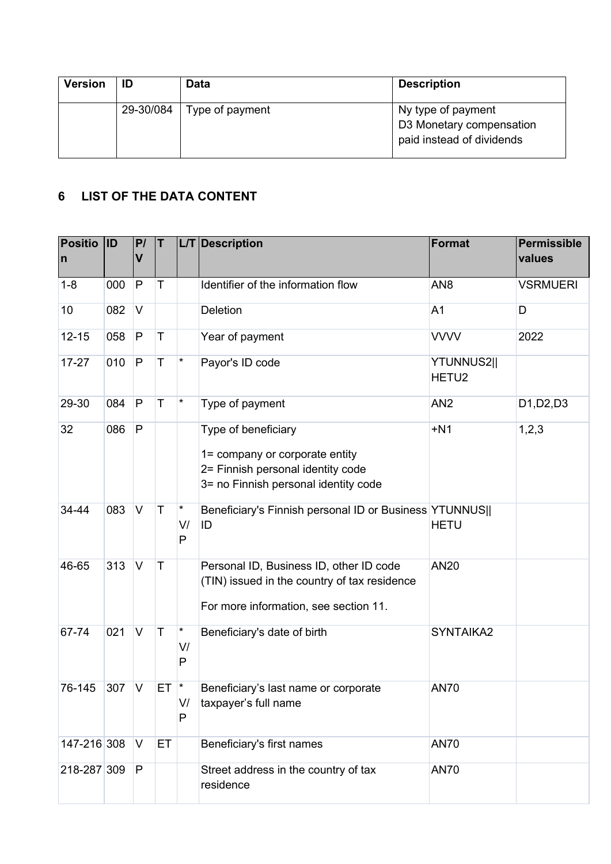| <b>Version</b> | ID        | Data            | <b>Description</b>                                                          |
|----------------|-----------|-----------------|-----------------------------------------------------------------------------|
|                | 29-30/084 | Type of payment | Ny type of payment<br>D3 Monetary compensation<br>paid instead of dividends |

## <span id="page-3-0"></span>**6 LIST OF THE DATA CONTENT**

| <b>Positio</b><br>$\mathsf{n}$ | <b>ID</b> | P/<br>$\mathsf{V}$ | $\mathsf T$ |                          | L/T Description                                                                                                                    | Format                                 | <b>Permissible</b><br>values                     |
|--------------------------------|-----------|--------------------|-------------|--------------------------|------------------------------------------------------------------------------------------------------------------------------------|----------------------------------------|--------------------------------------------------|
| $1 - 8$                        | 000       | $\mathsf{P}$       | T           |                          | Identifier of the information flow                                                                                                 | AN <sub>8</sub>                        | <b>VSRMUERI</b>                                  |
| 10                             | 082       | V                  |             |                          | <b>Deletion</b>                                                                                                                    | A <sub>1</sub>                         | D                                                |
| $12 - 15$                      | 058       | P                  | T           |                          | Year of payment                                                                                                                    | <b>VVVV</b>                            | 2022                                             |
| $17 - 27$                      | 010       | P                  | $\mathsf T$ | $\star$                  | Payor's ID code                                                                                                                    | <b>YTUNNUS2  </b><br>HETU <sub>2</sub> |                                                  |
| 29-30                          | 084       | P                  | T           | *                        | Type of payment                                                                                                                    | AN <sub>2</sub>                        | D <sub>1</sub> , D <sub>2</sub> , D <sub>3</sub> |
| 32                             | 086       | P                  |             |                          | Type of beneficiary<br>1= company or corporate entity<br>2= Finnish personal identity code<br>3= no Finnish personal identity code | $+N1$                                  | 1,2,3                                            |
| 34-44                          | 083       | $\vee$             | $\top$      | *<br>V/<br>P             | Beneficiary's Finnish personal ID or Business YTUNNUS  <br>ID                                                                      | <b>HETU</b>                            |                                                  |
| 46-65                          | 313       | $\vee$             | T           |                          | Personal ID, Business ID, other ID code<br>(TIN) issued in the country of tax residence<br>For more information, see section 11.   | <b>AN20</b>                            |                                                  |
| 67-74                          | 021       | $\vee$             | $\mathsf T$ | $^\star$<br>V/<br>P      | Beneficiary's date of birth                                                                                                        | SYNTAIKA2                              |                                                  |
| 76-145                         | 307       | $\vee$             | ET          | $\vert \star$<br>V/<br>P | Beneficiary's last name or corporate<br>taxpayer's full name                                                                       | <b>AN70</b>                            |                                                  |
| 147-216 308                    |           | V                  | <b>ET</b>   |                          | Beneficiary's first names                                                                                                          | <b>AN70</b>                            |                                                  |
| 218-287 309                    |           | P                  |             |                          | Street address in the country of tax<br>residence                                                                                  | <b>AN70</b>                            |                                                  |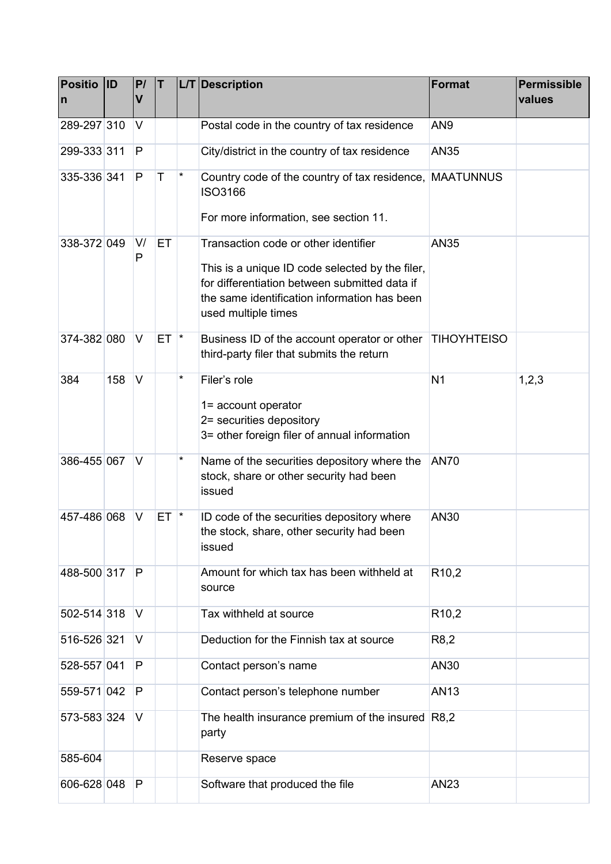| Positio ID<br>$\mathsf{n}$ |     | P/<br>$\overline{\mathsf{V}}$ | IT.          |                 | L/T Description                                                                                                                                                                                                 | <b>Format</b>      | <b>Permissible</b><br>values |
|----------------------------|-----|-------------------------------|--------------|-----------------|-----------------------------------------------------------------------------------------------------------------------------------------------------------------------------------------------------------------|--------------------|------------------------------|
| 289-297 310                |     | V                             |              |                 | Postal code in the country of tax residence                                                                                                                                                                     | AN <sub>9</sub>    |                              |
| 299-333 311                |     | P                             |              |                 | City/district in the country of tax residence                                                                                                                                                                   | AN35               |                              |
| 335-336 341                |     | P                             | $\mathsf{T}$ | $\star$         | Country code of the country of tax residence,<br><b>ISO3166</b><br>For more information, see section 11.                                                                                                        | <b>MAATUNNUS</b>   |                              |
| 338-372 049                |     | V/<br>P                       | ET           |                 | Transaction code or other identifier<br>This is a unique ID code selected by the filer,<br>for differentiation between submitted data if<br>the same identification information has been<br>used multiple times | AN35               |                              |
| 374-382 080                |     | V                             | ET.          | $\mathbf{\ast}$ | Business ID of the account operator or other<br>third-party filer that submits the return                                                                                                                       | <b>TIHOYHTEISO</b> |                              |
| 384                        | 158 | $\vee$                        |              | *               | Filer's role<br>1= account operator<br>2= securities depository<br>3= other foreign filer of annual information                                                                                                 | N <sub>1</sub>     | 1,2,3                        |
| 386-455 067                |     | V                             |              | *               | Name of the securities depository where the<br>stock, share or other security had been<br>issued                                                                                                                | <b>AN70</b>        |                              |
| 457-486 068                |     | V                             | ET.          | $\star$         | ID code of the securities depository where<br>the stock, share, other security had been<br>issued                                                                                                               | AN30               |                              |
| 488-500 317                |     | P                             |              |                 | Amount for which tax has been withheld at<br>source                                                                                                                                                             | R <sub>10,2</sub>  |                              |
| 502-514 318                |     | V                             |              |                 | Tax withheld at source                                                                                                                                                                                          | R <sub>10,2</sub>  |                              |
| 516-526 321                |     | V                             |              |                 | Deduction for the Finnish tax at source                                                                                                                                                                         | R8,2               |                              |
| 528-557 041                |     | P                             |              |                 | Contact person's name                                                                                                                                                                                           | AN30               |                              |
| 559-571 042                |     | P                             |              |                 | Contact person's telephone number                                                                                                                                                                               | AN13               |                              |
| 573-583 324                |     | V                             |              |                 | The health insurance premium of the insured R8,2<br>party                                                                                                                                                       |                    |                              |
| 585-604                    |     |                               |              |                 | Reserve space                                                                                                                                                                                                   |                    |                              |
| 606-628 048                |     | $\vert P \vert$               |              |                 | Software that produced the file                                                                                                                                                                                 | AN23               |                              |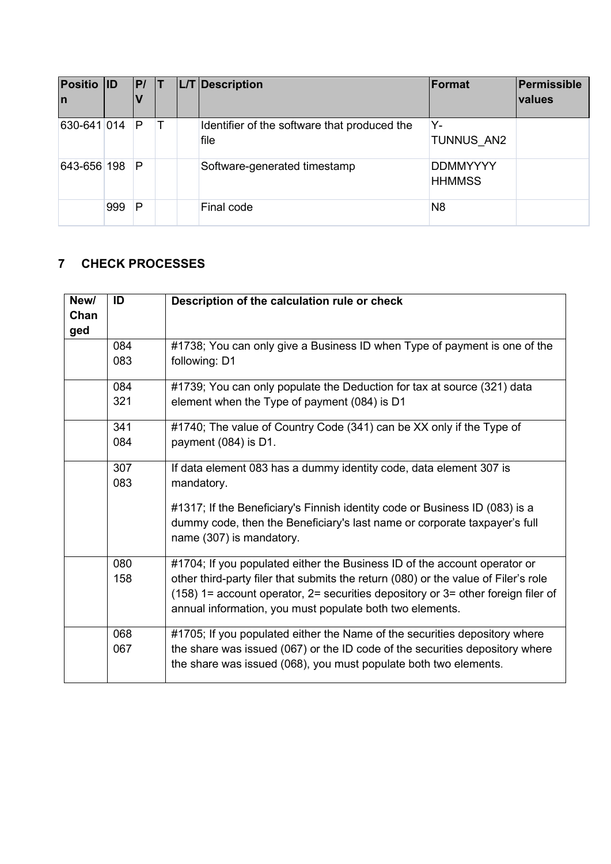| <b>Positio ID</b><br>In |     | P |  | L/T Description                                      | Format                           | Permissible<br>values |
|-------------------------|-----|---|--|------------------------------------------------------|----------------------------------|-----------------------|
| 630-641 014             |     | P |  | Identifier of the software that produced the<br>file | Y-<br>TUNNUS AN2                 |                       |
| 643-656 198             |     | P |  | Software-generated timestamp                         | <b>DDMMYYYY</b><br><b>HHMMSS</b> |                       |
|                         | 999 | P |  | Final code                                           | N <sub>8</sub>                   |                       |

## <span id="page-5-0"></span>**7 CHECK PROCESSES**

| New/<br>Chan<br>ged | ID         | Description of the calculation rule or check                                                                                                                                                                                                                                                                      |
|---------------------|------------|-------------------------------------------------------------------------------------------------------------------------------------------------------------------------------------------------------------------------------------------------------------------------------------------------------------------|
|                     | 084<br>083 | #1738; You can only give a Business ID when Type of payment is one of the<br>following: D1                                                                                                                                                                                                                        |
|                     | 084<br>321 | #1739; You can only populate the Deduction for tax at source (321) data<br>element when the Type of payment (084) is D1                                                                                                                                                                                           |
|                     | 341<br>084 | #1740; The value of Country Code (341) can be XX only if the Type of<br>payment (084) is D1.                                                                                                                                                                                                                      |
|                     | 307<br>083 | If data element 083 has a dummy identity code, data element 307 is<br>mandatory.<br>#1317; If the Beneficiary's Finnish identity code or Business ID (083) is a<br>dummy code, then the Beneficiary's last name or corporate taxpayer's full<br>name (307) is mandatory.                                          |
|                     | 080<br>158 | #1704; If you populated either the Business ID of the account operator or<br>other third-party filer that submits the return (080) or the value of Filer's role<br>$(158)$ 1= account operator, 2= securities depository or 3= other foreign filer of<br>annual information, you must populate both two elements. |
|                     | 068<br>067 | #1705; If you populated either the Name of the securities depository where<br>the share was issued (067) or the ID code of the securities depository where<br>the share was issued (068), you must populate both two elements.                                                                                    |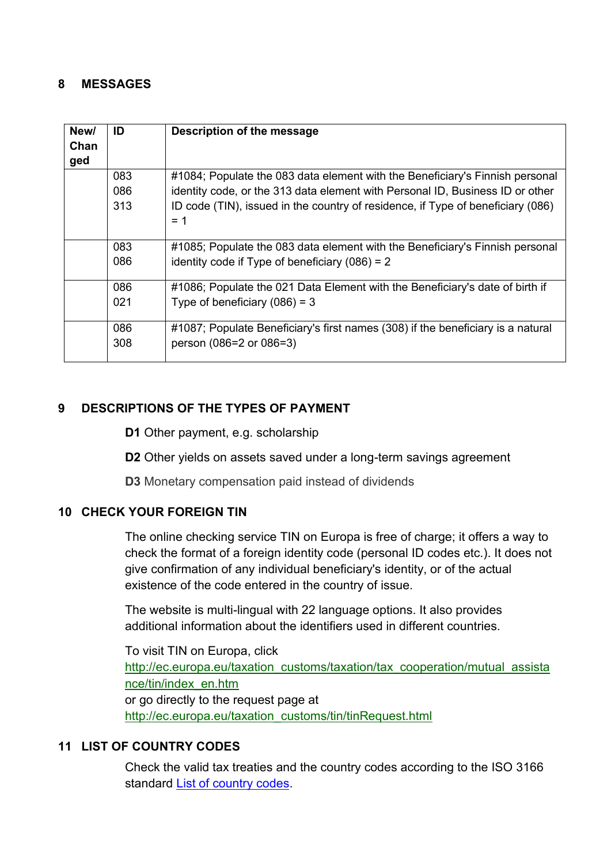## <span id="page-6-0"></span>**8 MESSAGES**

| New/<br>Chan<br>ged | ID  | Description of the message                                                      |
|---------------------|-----|---------------------------------------------------------------------------------|
|                     | 083 | #1084; Populate the 083 data element with the Beneficiary's Finnish personal    |
|                     | 086 | identity code, or the 313 data element with Personal ID, Business ID or other   |
|                     | 313 | ID code (TIN), issued in the country of residence, if Type of beneficiary (086) |
|                     |     | $= 1$                                                                           |
|                     |     |                                                                                 |
|                     | 083 | #1085; Populate the 083 data element with the Beneficiary's Finnish personal    |
|                     | 086 | identity code if Type of beneficiary $(086) = 2$                                |
|                     | 086 | #1086; Populate the 021 Data Element with the Beneficiary's date of birth if    |
|                     | 021 | Type of beneficiary $(086) = 3$                                                 |
|                     |     |                                                                                 |
|                     | 086 | #1087; Populate Beneficiary's first names (308) if the beneficiary is a natural |
|                     | 308 | person (086=2 or 086=3)                                                         |

## <span id="page-6-1"></span>**9 DESCRIPTIONS OF THE TYPES OF PAYMENT**

**D1** Other payment, e.g. scholarship

**D2** Other yields on assets saved under a long-term savings agreement

**D3** Monetary compensation paid instead of dividends

## <span id="page-6-2"></span>**10 CHECK YOUR FOREIGN TIN**

The online checking service TIN on Europa is free of charge; it offers a way to check the format of a foreign identity code (personal ID codes etc.). It does not give confirmation of any individual beneficiary's identity, or of the actual existence of the code entered in the country of issue.

The website is multi-lingual with 22 language options. It also provides additional information about the identifiers used in different countries.

To visit TIN on Europa, click [http://ec.europa.eu/taxation\\_customs/taxation/tax\\_cooperation/mutual\\_assista](http://ec.europa.eu/taxation_customs/taxation/tax_cooperation/mutual_assistance/tin/index_en.htm) [nce/tin/index\\_en.htm](http://ec.europa.eu/taxation_customs/taxation/tax_cooperation/mutual_assistance/tin/index_en.htm) or go directly to the request page at [http://ec.europa.eu/taxation\\_customs/tin/tinRequest.html](http://ec.europa.eu/taxation_customs/tin/tinRequest.html)

## <span id="page-6-3"></span>**11 LIST OF COUNTRY CODES**

Check the valid tax treaties and the country codes according to the ISO 3166 standard [List of country codes.](https://www.ilmoitin.fi/webtamo/sivut/ExcelPohjat?2-1.ILinkListener-apuvalineet-maatunnuslistaus_linkki)